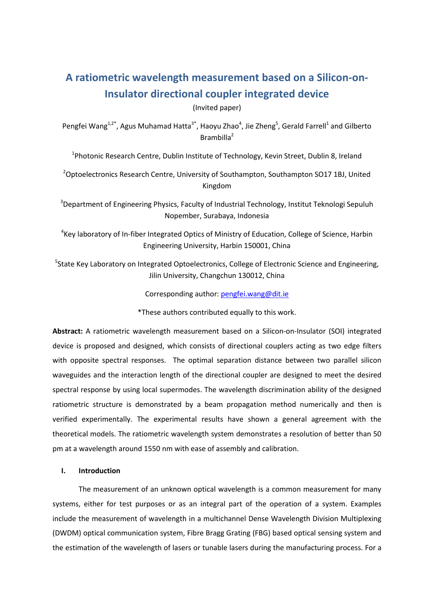# **A ratiometric wavelength measurement based on a Silicon-on-Insulator directional coupler integrated device**

(Invited paper)

Pengfei Wang<sup>1,2\*</sup>, Agus Muhamad Hatta<sup>3\*</sup>, Haoyu Zhao<sup>4</sup>, Jie Zheng<sup>5</sup>, Gerald Farrell<sup>1</sup> and Gilberto Brambilla<sup>2</sup>

<sup>1</sup>Photonic Research Centre, Dublin Institute of Technology, Kevin Street, Dublin 8, Ireland

<sup>2</sup>Optoelectronics Research Centre, University of Southampton, Southampton SO17 1BJ, United Kingdom

 $3$ Department of Engineering Physics, Faculty of Industrial Technology, Institut Teknologi Sepuluh Nopember, Surabaya, Indonesia

<sup>4</sup> Key laboratory of In-fiber Integrated Optics of Ministry of Education, College of Science, Harbin Engineering University, Harbin 150001, China

<sup>5</sup>State Key Laboratory on Integrated Optoelectronics, College of Electronic Science and Engineering, Jilin University, Changchun 130012, China

Corresponding author: [pengfei.wang@dit.ie](mailto:pengfei.wang@dit.ie)

\*These authors contributed equally to this work.

**Abstract:** A ratiometric wavelength measurement based on a Silicon-on-Insulator (SOI) integrated device is proposed and designed, which consists of directional couplers acting as two edge filters with opposite spectral responses. The optimal separation distance between two parallel silicon waveguides and the interaction length of the directional coupler are designed to meet the desired spectral response by using local supermodes. The wavelength discrimination ability of the designed ratiometric structure is demonstrated by a beam propagation method numerically and then is verified experimentally. The experimental results have shown a general agreement with the theoretical models. The ratiometric wavelength system demonstrates a resolution of better than 50 pm at a wavelength around 1550 nm with ease of assembly and calibration.

#### **I. Introduction**

The measurement of an unknown optical wavelength is a common measurement for many systems, either for test purposes or as an integral part of the operation of a system. Examples include the measurement of wavelength in a multichannel Dense Wavelength Division Multiplexing (DWDM) optical communication system, Fibre Bragg Grating (FBG) based optical sensing system and the estimation of the wavelength of lasers or tunable lasers during the manufacturing process. For a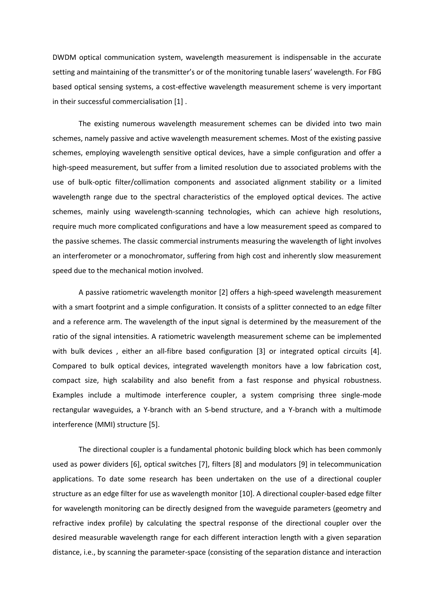DWDM optical communication system, wavelength measurement is indispensable in the accurate setting and maintaining of the transmitter's or of the monitoring tunable lasers' wavelength. For FBG based optical sensing systems, a cost-effective wavelength measurement scheme is very important in their successful commercialisation [\[1\]](#page-15-0) .

The existing numerous wavelength measurement schemes can be divided into two main schemes, namely passive and active wavelength measurement schemes. Most of the existing passive schemes, employing wavelength sensitive optical devices, have a simple configuration and offer a high-speed measurement, but suffer from a limited resolution due to associated problems with the use of bulk-optic filter/collimation components and associated alignment stability or a limited wavelength range due to the spectral characteristics of the employed optical devices. The active schemes, mainly using wavelength-scanning technologies, which can achieve high resolutions, require much more complicated configurations and have a low measurement speed as compared to the passive schemes. The classic commercial instruments measuring the wavelength of light involves an interferometer or a monochromator, suffering from high cost and inherently slow measurement speed due to the mechanical motion involved.

A passive ratiometric wavelength monitor [\[2\]](#page-15-1) offers a high-speed wavelength measurement with a smart footprint and a simple configuration. It consists of a splitter connected to an edge filter and a reference arm. The wavelength of the input signal is determined by the measurement of the ratio of the signal intensities. A ratiometric wavelength measurement scheme can be implemented with bulk devices, either an all-fibre based configuration [\[3\]](#page-15-2) or integrated optical circuits [\[4\]](#page-15-3). Compared to bulk optical devices, integrated wavelength monitors have a low fabrication cost, compact size, high scalability and also benefit from a fast response and physical robustness. Examples include a multimode interference coupler, a system comprising three single-mode rectangular waveguides, a Y-branch with an S-bend structure, and a Y-branch with a multimode interference (MMI) structure [\[5\]](#page-15-4).

The directional coupler is a fundamental photonic building block which has been commonly used as power dividers [\[6\]](#page-15-5), optical switches [\[7\]](#page-15-6), filters [\[8\]](#page-15-7) and modulators [\[9\]](#page-15-8) in telecommunication applications. To date some research has been undertaken on the use of a directional coupler structure as an edge filter for use as wavelength monitor [\[10\]](#page-16-0). A directional coupler-based edge filter for wavelength monitoring can be directly designed from the waveguide parameters (geometry and refractive index profile) by calculating the spectral response of the directional coupler over the desired measurable wavelength range for each different interaction length with a given separation distance, i.e., by scanning the parameter-space (consisting of the separation distance and interaction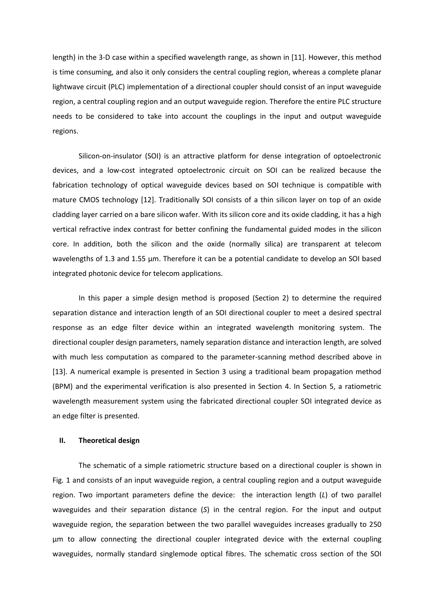length) in the 3-D case within a specified wavelength range, as shown in [\[11\]](#page-16-1). However, this method is time consuming, and also it only considers the central coupling region, whereas a complete planar lightwave circuit (PLC) implementation of a directional coupler should consist of an input waveguide region, a central coupling region and an output waveguide region. Therefore the entire PLC structure needs to be considered to take into account the couplings in the input and output waveguide regions.

Silicon-on-insulator (SOI) is an attractive platform for dense integration of optoelectronic devices, and a low-cost integrated optoelectronic circuit on SOI can be realized because the fabrication technology of optical waveguide devices based on SOI technique is compatible with mature CMOS technology [\[12\]](#page-16-2). Traditionally SOI consists of a thin silicon layer on top of an oxide cladding layer carried on a bare silicon wafer. With its silicon core and its oxide cladding, it has a high vertical refractive index contrast for better confining the fundamental guided modes in the silicon core. In addition, both the silicon and the oxide (normally silica) are transparent at telecom wavelengths of 1.3 and 1.55 µm. Therefore it can be a potential candidate to develop an SOI based integrated photonic device for telecom applications.

In this paper a simple design method is proposed (Section 2) to determine the required separation distance and interaction length of an SOI directional coupler to meet a desired spectral response as an edge filter device within an integrated wavelength monitoring system. The directional coupler design parameters, namely separation distance and interaction length, are solved with much less computation as compared to the parameter-scanning method described above in [\[13\]](#page-16-3). A numerical example is presented in Section 3 using a traditional beam propagation method (BPM) and the experimental verification is also presented in Section 4. In Section 5, a ratiometric wavelength measurement system using the fabricated directional coupler SOI integrated device as an edge filter is presented.

### **II. Theoretical design**

The schematic of a simple ratiometric structure based on a directional coupler is shown in Fig. 1 and consists of an input waveguide region, a central coupling region and a output waveguide region. Two important parameters define the device: the interaction length (*L*) of two parallel waveguides and their separation distance (*S*) in the central region. For the input and output waveguide region, the separation between the two parallel waveguides increases gradually to 250 μm to allow connecting the directional coupler integrated device with the external coupling waveguides, normally standard singlemode optical fibres. The schematic cross section of the SOI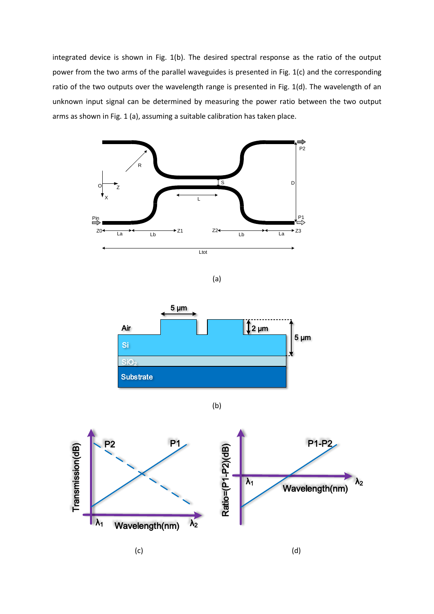integrated device is shown in Fig. 1(b). The desired spectral response as the ratio of the output power from the two arms of the parallel waveguides is presented in Fig. 1(c) and the corresponding ratio of the two outputs over the wavelength range is presented in Fig. 1(d). The wavelength of an unknown input signal can be determined by measuring the power ratio between the two output arms as shown in Fig. 1 (a), assuming a suitable calibration has taken place.



 $(c)$  (c)

 $\lambda_1$  Wavelength(nm)  $\lambda_2$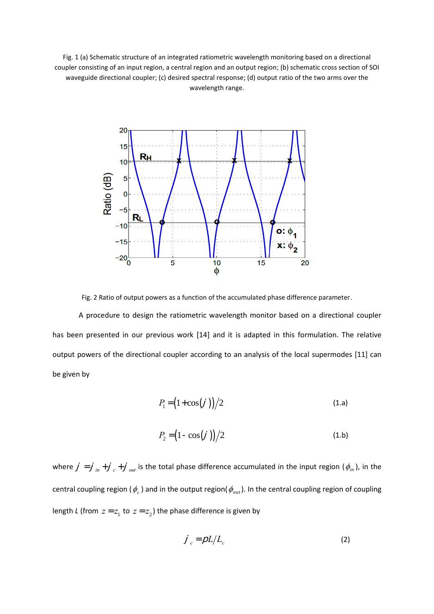Fig. 1 (a) Schematic structure of an integrated ratiometric wavelength monitoring based on a directional coupler consisting of an input region, a central region and an output region; (b) schematic cross section of SOI waveguide directional coupler; (c) desired spectral response; (d) output ratio of the two arms over the wavelength range.



Fig. 2 Ratio of output powers as a function of the accumulated phase difference parameter.

A procedure to design the ratiometric wavelength monitor based on a directional coupler has been presented in our previous work [\[14\]](#page-16-4) and it is adapted in this formulation. The relative output powers of the directional coupler according to an analysis of the local supermodes [\[11\]](#page-16-1) can be given by

$$
P_1 = \left(1 + \cos\left(\frac{f}{f}\right)\right)/2\tag{1. a}
$$

$$
P_2 = \left(1 - \cos\left(\frac{j}{2}\right)\right)/2\tag{1.b}
$$

where  $j = j_{in} + j_{c} + j_{out}$  is the total phase difference accumulated in the input region ( $\phi_{in}$ ), in the central coupling region ( $\phi_c$  ) and in the output region( $\phi_{_{out}}$ ). In the central coupling region of coupling length *L* (from  $z = z_1$  to  $z = z_2$ ) the phase difference is given by

$$
\dot{J}_c = \rho L / L_c \tag{2}
$$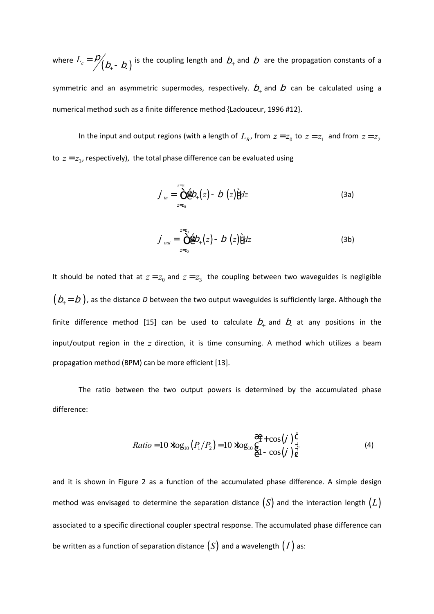where  $L_c = \frac{D}{\sqrt{D_+ - D_-}}$  is the coupling length and  $D_+$  and  $D_-$  are the propagation constants of a symmetric and an asymmetric supermodes, respectively.  $b_+$  and  $b_-$  can be calculated using a numerical method such as a finite difference method {Ladouceur, 1996 #12}.

In the input and output regions (with a length of  $L_{B}$ , from  $z = z_0$  to  $z = z_1$  and from  $z = z_2$ to  $z = z_3$ , respectively), the total phase difference can be evaluated using

$$
\dot{J}_{in} = \int_{z=z_0}^{z=z_1} \hat{g} \, \dot{D}_+(z) - D_-(z) \hat{g} \, dz \tag{3a}
$$

$$
j_{out} = \int_{z=z_2}^{z=z_3} \hat{g} D_{+}(z) - D_{-}(z) \hat{f} dz
$$
 (3b)

It should be noted that at  $z = z_0$  and  $z = z_3$  the coupling between two waveguides is negligible  $\big( \mathcal{b}_{+} = \mathcal{b}_{-}\big)$ , as the distance D between the two output waveguides is sufficiently large. Although the finite difference method [\[15\]](#page-16-5) can be used to calculate  $b_+$  and  $b_-$  at any positions in the input/output region in the z direction, it is time consuming. A method which utilizes a beam propagation method (BPM) can be more efficient [\[13\]](#page-16-3).

The ratio between the two output powers is determined by the accumulated phase difference:

Ratio = 
$$
10 \times \log_{10} (P_1/P_2) = 10 \times \log_{10} \frac{\text{R}}{\text{C}} \frac{1 + \cos(j)}{1 - \cos(j)} \frac{\text{C}}{\text{D}}
$$
 (4)

and it is shown in Figure 2 as a function of the accumulated phase difference. A simple design method was envisaged to determine the separation distance  $(S)$  and the interaction length  $(L)$ associated to a specific directional coupler spectral response. The accumulated phase difference can be written as a function of separation distance  $(S)$  and a wavelength  $($  /  $)$  as: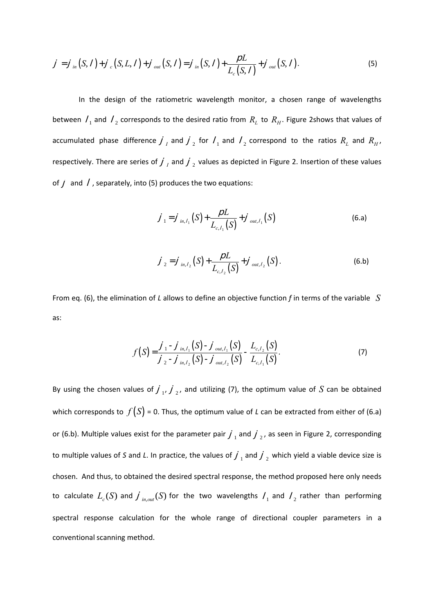$$
j = j_{in}(S, l) + j_{c}(S, L, l) + j_{out}(S, l) = j_{in}(S, l) + \frac{\rho L}{L_{c}(S, l)} + j_{out}(S, l).
$$
 (5)

In the design of the ratiometric wavelength monitor, a chosen range of wavelengths between  $\ell_1$  and  $\ell_2$  corresponds to the desired ratio from  $R_L$  to  $R_H$ . Figure 2shows that values of accumulated phase difference  $j_I$  and  $j_2$  for  $I_1$  and  $I_2$  correspond to the ratios  $R_L$  and  $R_H$ , respectively. There are series of  $j_{I}$  and  $j_{2}$  values as depicted in Figure 2. Insertion of these values of  $j$  and  $l$ , separately, into (5) produces the two equations:

$$
j_1 = j_{in, l_1}(S) + \frac{\rho L}{L_{c, l_1}(S)} + j_{out, l_1}(S)
$$
 (6. a)

$$
\dot{J}_2 = \dot{J}_{in, l_2} (S) + \frac{\rho L}{L_{c, l_2} (S)} + \dot{J}_{out, l_2} (S).
$$
 (6.b)

From eq. (6), the elimination of *L* allows to define an objective function *f* in terms of the variable *S* as:

$$
f(S) = \frac{\int_{-1}^{1} - \int_{in, l_1}^{1} (S) - \int_{out, l_1}^{1} (S)}{\int_{-2}^{1} - \int_{in, l_2}^{1} (S) - \int_{out, l_2}^{1} (S)} - \frac{L_{c, l_2} (S)}{L_{c, l_1} (S)}.
$$
 (7)

By using the chosen values of  $j_1$ ,  $j_2$ , and utilizing (7), the optimum value of S can be obtained which corresponds to  $f(S)$  = 0. Thus, the optimum value of *L* can be extracted from either of (6.a) or (6.b). Multiple values exist for the parameter pair  $j_{1}$  and  $j_{2}$ , as seen in Figure 2, corresponding to multiple values of S and L. In practice, the values of  $j_{1}$  and  $j_{2}$  which yield a viable device size is chosen. And thus, to obtained the desired spectral response, the method proposed here only needs to calculate  $L_c(S)$  and  $\int_{in,out}(S)$  for the two wavelengths  $\ell_1$  and  $\ell_2$  rather than performing spectral response calculation for the whole range of directional coupler parameters in a conventional scanning method.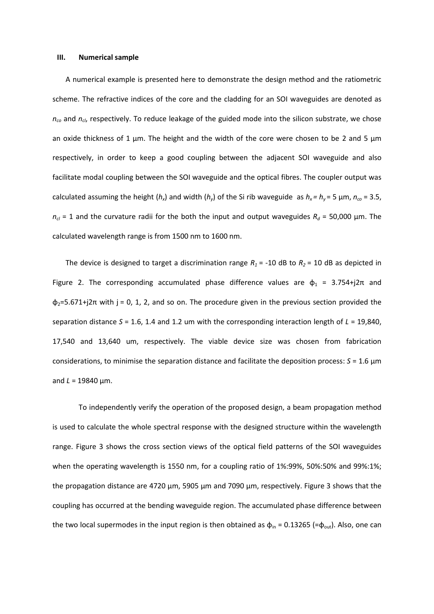#### **III. Numerical sample**

A numerical example is presented here to demonstrate the design method and the ratiometric scheme. The refractive indices of the core and the cladding for an SOI waveguides are denoted as *nco* and *ncl*, respectively. To reduce leakage of the guided mode into the silicon substrate, we chose an oxide thickness of 1  $\mu$ m. The height and the width of the core were chosen to be 2 and 5  $\mu$ m respectively, in order to keep a good coupling between the adjacent SOI waveguide and also facilitate modal coupling between the SOI waveguide and the optical fibres. The coupler output was calculated assuming the height  $(h_x)$  and width  $(h_y)$  of the Si rib waveguide as  $h_x = h_y = 5 \mu m$ ,  $n_{co} = 3.5$ ,  $n_{cl}$  = 1 and the curvature radii for the both the input and output waveguides  $R_d$  = 50,000 µm. The calculated wavelength range is from 1500 nm to 1600 nm.

The device is designed to target a discrimination range  $R_1$  = -10 dB to  $R_2$  = 10 dB as depicted in Figure 2. The corresponding accumulated phase difference values are  $\phi_1$  = 3.754+j2 $\pi$  and  $\phi_2$ =5.671+j2 $\pi$  with j = 0, 1, 2, and so on. The procedure given in the previous section provided the separation distance *S* = 1.6, 1.4 and 1.2 um with the corresponding interaction length of *L* = 19,840, 17,540 and 13,640 um, respectively. The viable device size was chosen from fabrication considerations, to minimise the separation distance and facilitate the deposition process: *S* = 1.6 µm and *L* = 19840 µm.

To independently verify the operation of the proposed design, a beam propagation method is used to calculate the whole spectral response with the designed structure within the wavelength range. Figure 3 shows the cross section views of the optical field patterns of the SOI waveguides when the operating wavelength is 1550 nm, for a coupling ratio of 1%:99%, 50%:50% and 99%:1%; the propagation distance are 4720 µm, 5905 µm and 7090 µm, respectively. Figure 3 shows that the coupling has occurred at the bending waveguide region. The accumulated phase difference between the two local supermodes in the input region is then obtained as  $\phi_{in} = 0.13265$  (= $\phi_{out}$ ). Also, one can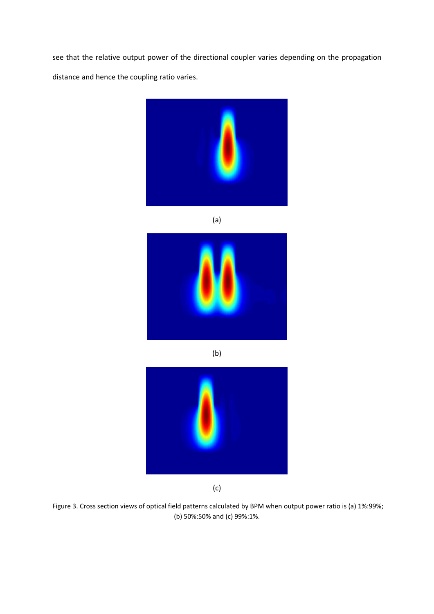see that the relative output power of the directional coupler varies depending on the propagation distance and hence the coupling ratio varies.



(a)



(b)



(c)

Figure 3. Cross section views of optical field patterns calculated by BPM when output power ratio is (a) 1%:99%; (b) 50%:50% and (c) 99%:1%.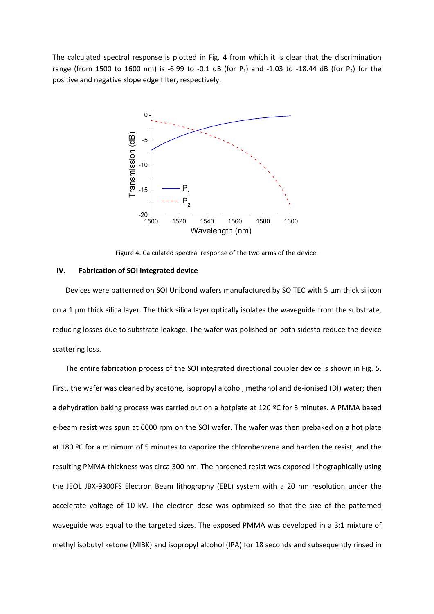The calculated spectral response is plotted in Fig. 4 from which it is clear that the discrimination range (from 1500 to 1600 nm) is -6.99 to -0.1 dB (for P<sub>1</sub>) and -1.03 to -18.44 dB (for P<sub>2</sub>) for the positive and negative slope edge filter, respectively.



Figure 4. Calculated spectral response of the two arms of the device.

#### **IV. Fabrication of SOI integrated device**

Devices were patterned on SOI Unibond wafers manufactured by SOITEC with 5 µm thick silicon on a 1 µm thick silica layer. The thick silica layer optically isolates the waveguide from the substrate, reducing losses due to substrate leakage. The wafer was polished on both sidesto reduce the device scattering loss.

The entire fabrication process of the SOI integrated directional coupler device is shown in Fig. 5. First, the wafer was cleaned by acetone, isopropyl alcohol, methanol and de-ionised (DI) water; then a dehydration baking process was carried out on a hotplate at 120 ºC for 3 minutes. A PMMA based e-beam resist was spun at 6000 rpm on the SOI wafer. The wafer was then prebaked on a hot plate at 180 ºC for a minimum of 5 minutes to vaporize the chlorobenzene and harden the resist, and the resulting PMMA thickness was circa 300 nm. The hardened resist was exposed lithographically using the JEOL JBX-9300FS Electron Beam lithography (EBL) system with a 20 nm resolution under the accelerate voltage of 10 kV. The electron dose was optimized so that the size of the patterned waveguide was equal to the targeted sizes. The exposed PMMA was developed in a 3:1 mixture of methyl isobutyl ketone (MIBK) and isopropyl alcohol (IPA) for 18 seconds and subsequently rinsed in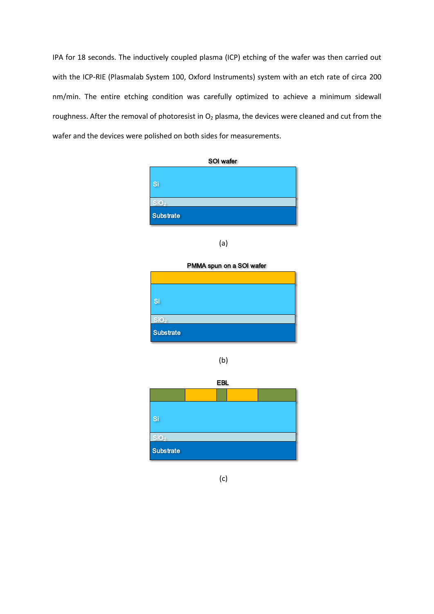IPA for 18 seconds. The inductively coupled plasma (ICP) etching of the wafer was then carried out with the ICP-RIE (Plasmalab System 100, Oxford Instruments) system with an etch rate of circa 200 nm/min. The entire etching condition was carefully optimized to achieve a minimum sidewall roughness. After the removal of photoresist in  $O_2$  plasma, the devices were cleaned and cut from the wafer and the devices were polished on both sides for measurements.





PMMA spun on a SOI wafer

| Si               |  |
|------------------|--|
| SiO <sub>2</sub> |  |
|                  |  |
| <b>Substrate</b> |  |

(b)



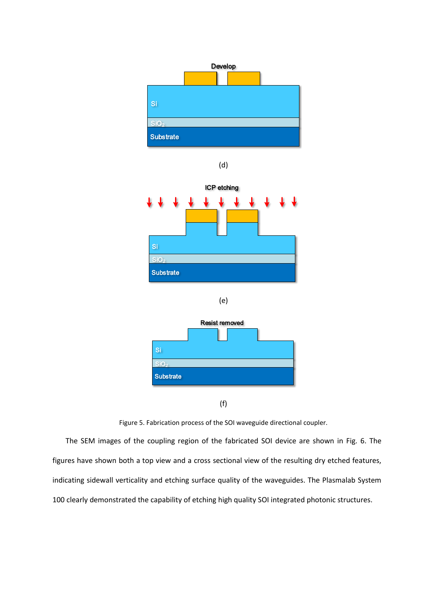

(d)







(f)

The SEM images of the coupling region of the fabricated SOI device are shown in Fig. 6. The figures have shown both a top view and a cross sectional view of the resulting dry etched features, indicating sidewall verticality and etching surface quality of the waveguides. The Plasmalab System 100 clearly demonstrated the capability of etching high quality SOI integrated photonic structures.

Figure 5. Fabrication process of the SOI waveguide directional coupler.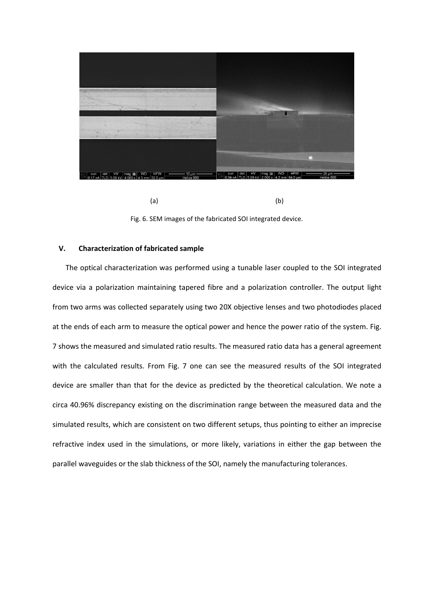

 $(a)$  (b)

Fig. 6. SEM images of the fabricated SOI integrated device.

## **V. Characterization of fabricated sample**

The optical characterization was performed using a tunable laser coupled to the SOI integrated device via a polarization maintaining tapered fibre and a polarization controller. The output light from two arms was collected separately using two 20X objective lenses and two photodiodes placed at the ends of each arm to measure the optical power and hence the power ratio of the system. Fig. 7 shows the measured and simulated ratio results. The measured ratio data has a general agreement with the calculated results. From Fig. 7 one can see the measured results of the SOI integrated device are smaller than that for the device as predicted by the theoretical calculation. We note a circa 40.96% discrepancy existing on the discrimination range between the measured data and the simulated results, which are consistent on two different setups, thus pointing to either an imprecise refractive index used in the simulations, or more likely, variations in either the gap between the parallel waveguides or the slab thickness of the SOI, namely the manufacturing tolerances.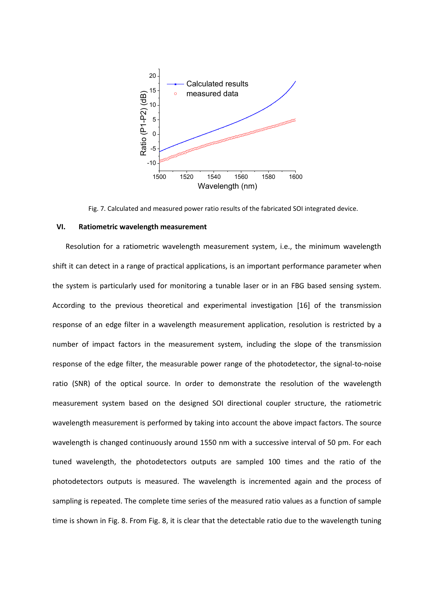

Fig. 7. Calculated and measured power ratio results of the fabricated SOI integrated device.

### **VI. Ratiometric wavelength measurement**

Resolution for a ratiometric wavelength measurement system, i.e., the minimum wavelength shift it can detect in a range of practical applications, is an important performance parameter when the system is particularly used for monitoring a tunable laser or in an FBG based sensing system. According to the previous theoretical and experimental investigation [\[16\]](#page-16-6) of the transmission response of an edge filter in a wavelength measurement application, resolution is restricted by a number of impact factors in the measurement system, including the slope of the transmission response of the edge filter, the measurable power range of the photodetector, the signal-to-noise ratio (SNR) of the optical source. In order to demonstrate the resolution of the wavelength measurement system based on the designed SOI directional coupler structure, the ratiometric wavelength measurement is performed by taking into account the above impact factors. The source wavelength is changed continuously around 1550 nm with a successive interval of 50 pm. For each tuned wavelength, the photodetectors outputs are sampled 100 times and the ratio of the photodetectors outputs is measured. The wavelength is incremented again and the process of sampling is repeated. The complete time series of the measured ratio values as a function of sample time is shown in Fig. 8. From Fig. 8, it is clear that the detectable ratio due to the wavelength tuning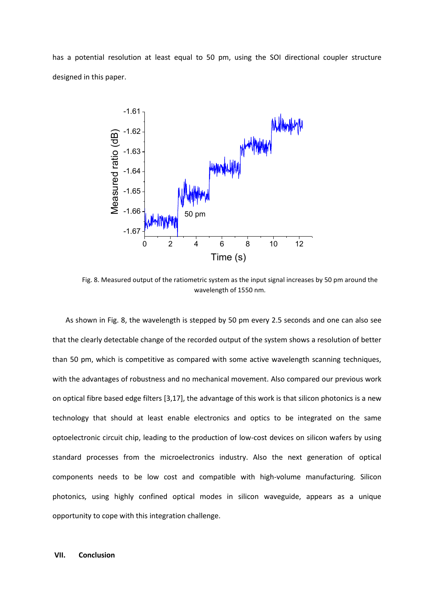has a potential resolution at least equal to 50 pm, using the SOI directional coupler structure designed in this paper.



Fig. 8. Measured output of the ratiometric system as the input signal increases by 50 pm around the wavelength of 1550 nm.

As shown in Fig. 8, the wavelength is stepped by 50 pm every 2.5 seconds and one can also see that the clearly detectable change of the recorded output of the system shows a resolution of better than 50 pm, which is competitive as compared with some active wavelength scanning techniques, with the advantages of robustness and no mechanical movement. Also compared our previous work on optical fibre based edge filters [\[3](#page-15-2)[,17\]](#page-16-7), the advantage of this work is that silicon photonics is a new technology that should at least enable electronics and optics to be integrated on the same optoelectronic circuit chip, leading to the production of low-cost devices on silicon wafers by using standard processes from the microelectronics industry. Also the next generation of optical components needs to be low cost and compatible with high-volume manufacturing. Silicon photonics, using highly confined optical modes in silicon waveguide, appears as a unique opportunity to cope with this integration challenge.

## **VII. Conclusion**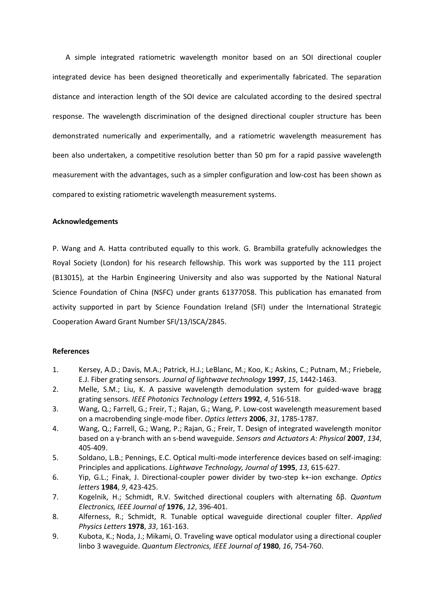A simple integrated ratiometric wavelength monitor based on an SOI directional coupler integrated device has been designed theoretically and experimentally fabricated. The separation distance and interaction length of the SOI device are calculated according to the desired spectral response. The wavelength discrimination of the designed directional coupler structure has been demonstrated numerically and experimentally, and a ratiometric wavelength measurement has been also undertaken, a competitive resolution better than 50 pm for a rapid passive wavelength measurement with the advantages, such as a simpler configuration and low-cost has been shown as compared to existing ratiometric wavelength measurement systems.

## **Acknowledgements**

P. Wang and A. Hatta contributed equally to this work. G. Brambilla gratefully acknowledges the Royal Society (London) for his research fellowship. This work was supported by the 111 project (B13015), at the Harbin Engineering University and also was supported by the National Natural Science Foundation of China (NSFC) under grants 61377058. This publication has emanated from activity supported in part by Science Foundation Ireland (SFI) under the International Strategic Cooperation Award Grant Number SFI/13/ISCA/2845.

## **References**

- <span id="page-15-0"></span>1. Kersey, A.D.; Davis, M.A.; Patrick, H.J.; LeBlanc, M.; Koo, K.; Askins, C.; Putnam, M.; Friebele, E.J. Fiber grating sensors. *Journal of lightwave technology* **1997**, *15*, 1442-1463.
- <span id="page-15-1"></span>2. Melle, S.M.; Liu, K. A passive wavelength demodulation system for guided-wave bragg grating sensors. *IEEE Photonics Technology Letters* **1992**, *4*, 516-518.
- <span id="page-15-2"></span>3. Wang, Q.; Farrell, G.; Freir, T.; Rajan, G.; Wang, P. Low-cost wavelength measurement based on a macrobending single-mode fiber. *Optics letters* **2006**, *31*, 1785-1787.
- <span id="page-15-3"></span>4. Wang, Q.; Farrell, G.; Wang, P.; Rajan, G.; Freir, T. Design of integrated wavelength monitor based on a y-branch with an s-bend waveguide. *Sensors and Actuators A: Physical* **2007**, *134*, 405-409.
- <span id="page-15-4"></span>5. Soldano, L.B.; Pennings, E.C. Optical multi-mode interference devices based on self-imaging: Principles and applications. *Lightwave Technology, Journal of* **1995**, *13*, 615-627.
- <span id="page-15-5"></span>6. Yip, G.L.; Finak, J. Directional-coupler power divider by two-step k+-ion exchange. *Optics letters* **1984**, *9*, 423-425.
- <span id="page-15-6"></span>7. Kogelnik, H.; Schmidt, R.V. Switched directional couplers with alternating δβ. *Quantum Electronics, IEEE Journal of* **1976**, *12*, 396-401.
- <span id="page-15-7"></span>8. Alferness, R.; Schmidt, R. Tunable optical waveguide directional coupler filter. *Applied Physics Letters* **1978**, *33*, 161-163.
- <span id="page-15-8"></span>9. Kubota, K.; Noda, J.; Mikami, O. Traveling wave optical modulator using a directional coupler linbo 3 waveguide. *Quantum Electronics, IEEE Journal of* **1980**, *16*, 754-760.